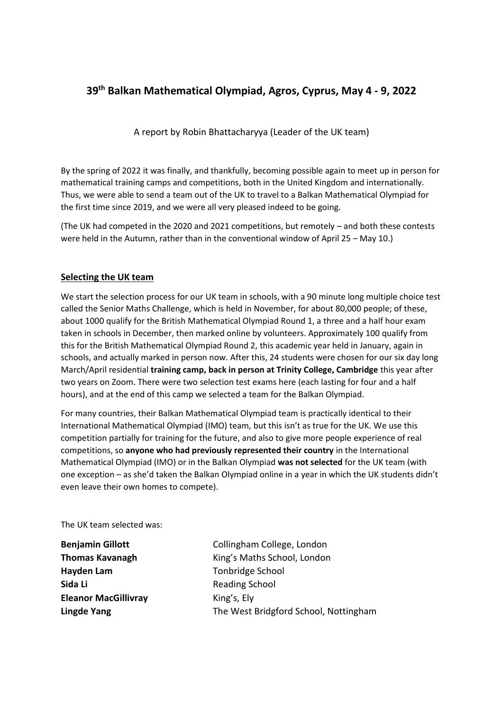# **39th Balkan Mathematical Olympiad, Agros, Cyprus, May 4 - 9, 2022**

A report by Robin Bhattacharyya (Leader of the UK team)

By the spring of 2022 it was finally, and thankfully, becoming possible again to meet up in person for mathematical training camps and competitions, both in the United Kingdom and internationally. Thus, we were able to send a team out of the UK to travel to a Balkan Mathematical Olympiad for the first time since 2019, and we were all very pleased indeed to be going.

(The UK had competed in the 2020 and 2021 competitions, but remotely – and both these contests were held in the Autumn, rather than in the conventional window of April 25 – May 10.)

# **Selecting the UK team**

We start the selection process for our UK team in schools, with a 90 minute long multiple choice test called the Senior Maths Challenge, which is held in November, for about 80,000 people; of these, about 1000 qualify for the British Mathematical Olympiad Round 1, a three and a half hour exam taken in schools in December, then marked online by volunteers. Approximately 100 qualify from this for the British Mathematical Olympiad Round 2, this academic year held in January, again in schools, and actually marked in person now. After this, 24 students were chosen for our six day long March/April residential **training camp, back in person at Trinity College, Cambridge** this year after two years on Zoom. There were two selection test exams here (each lasting for four and a half hours), and at the end of this camp we selected a team for the Balkan Olympiad.

For many countries, their Balkan Mathematical Olympiad team is practically identical to their International Mathematical Olympiad (IMO) team, but this isn't as true for the UK. We use this competition partially for training for the future, and also to give more people experience of real competitions, so **anyone who had previously represented their country** in the International Mathematical Olympiad (IMO) or in the Balkan Olympiad **was not selected** for the UK team (with one exception – as she'd taken the Balkan Olympiad online in a year in which the UK students didn't even leave their own homes to compete).

The UK team selected was:

**Hayden Lam** Tonbridge School **Sida Li** Reading School **Eleanor MacGillivray** King's, Ely

**Benjamin Gillott** Collingham College, London **Thomas Kavanagh** King's Maths School, London **Lingde Yang** The West Bridgford School, Nottingham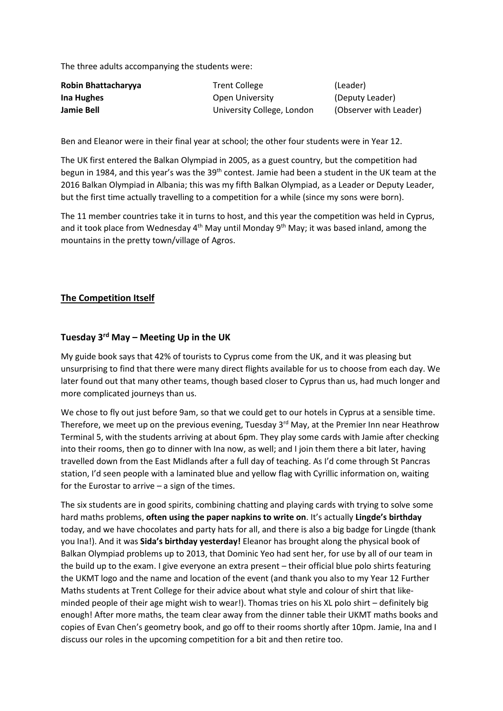The three adults accompanying the students were:

| Robin Bhattacharyya | <b>Trent College</b>       | (Leader)               |
|---------------------|----------------------------|------------------------|
| Ina Hughes          | Open University            | (Deputy Leader)        |
| Jamie Bell          | University College, London | (Observer with Leader) |

Ben and Eleanor were in their final year at school; the other four students were in Year 12.

The UK first entered the Balkan Olympiad in 2005, as a guest country, but the competition had begun in 1984, and this year's was the 39<sup>th</sup> contest. Jamie had been a student in the UK team at the 2016 Balkan Olympiad in Albania; this was my fifth Balkan Olympiad, as a Leader or Deputy Leader, but the first time actually travelling to a competition for a while (since my sons were born).

The 11 member countries take it in turns to host, and this year the competition was held in Cyprus, and it took place from Wednesday  $4<sup>th</sup>$  May until Monday  $9<sup>th</sup>$  May; it was based inland, among the mountains in the pretty town/village of Agros.

### **The Competition Itself**

### **Tuesday 3rd May – Meeting Up in the UK**

My guide book says that 42% of tourists to Cyprus come from the UK, and it was pleasing but unsurprising to find that there were many direct flights available for us to choose from each day. We later found out that many other teams, though based closer to Cyprus than us, had much longer and more complicated journeys than us.

We chose to fly out just before 9am, so that we could get to our hotels in Cyprus at a sensible time. Therefore, we meet up on the previous evening, Tuesday 3<sup>rd</sup> May, at the Premier Inn near Heathrow Terminal 5, with the students arriving at about 6pm. They play some cards with Jamie after checking into their rooms, then go to dinner with Ina now, as well; and I join them there a bit later, having travelled down from the East Midlands after a full day of teaching. As I'd come through St Pancras station, I'd seen people with a laminated blue and yellow flag with Cyrillic information on, waiting for the Eurostar to arrive – a sign of the times.

The six students are in good spirits, combining chatting and playing cards with trying to solve some hard maths problems, **often using the paper napkins to write on**. It's actually **Lingde's birthday** today, and we have chocolates and party hats for all, and there is also a big badge for Lingde (thank you Ina!). And it was **Sida's birthday yesterday!** Eleanor has brought along the physical book of Balkan Olympiad problems up to 2013, that Dominic Yeo had sent her, for use by all of our team in the build up to the exam. I give everyone an extra present – their official blue polo shirts featuring the UKMT logo and the name and location of the event (and thank you also to my Year 12 Further Maths students at Trent College for their advice about what style and colour of shirt that likeminded people of their age might wish to wear!). Thomas tries on his XL polo shirt – definitely big enough! After more maths, the team clear away from the dinner table their UKMT maths books and copies of Evan Chen's geometry book, and go off to their rooms shortly after 10pm. Jamie, Ina and I discuss our roles in the upcoming competition for a bit and then retire too.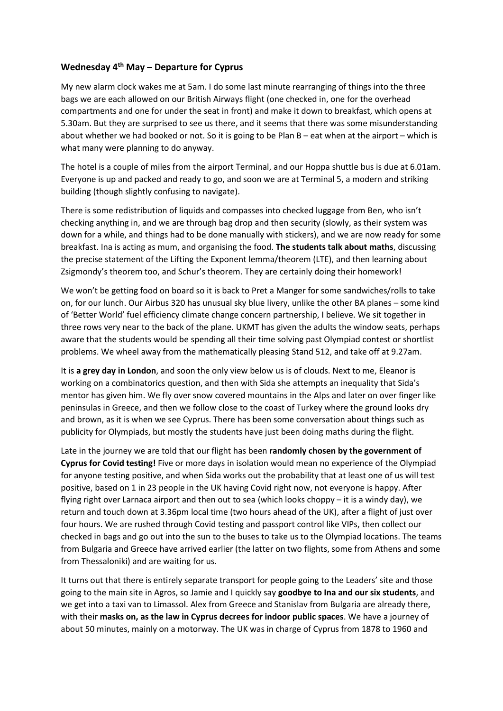# **Wednesday 4th May – Departure for Cyprus**

My new alarm clock wakes me at 5am. I do some last minute rearranging of things into the three bags we are each allowed on our British Airways flight (one checked in, one for the overhead compartments and one for under the seat in front) and make it down to breakfast, which opens at 5.30am. But they are surprised to see us there, and it seems that there was some misunderstanding about whether we had booked or not. So it is going to be Plan B – eat when at the airport – which is what many were planning to do anyway.

The hotel is a couple of miles from the airport Terminal, and our Hoppa shuttle bus is due at 6.01am. Everyone is up and packed and ready to go, and soon we are at Terminal 5, a modern and striking building (though slightly confusing to navigate).

There is some redistribution of liquids and compasses into checked luggage from Ben, who isn't checking anything in, and we are through bag drop and then security (slowly, as their system was down for a while, and things had to be done manually with stickers), and we are now ready for some breakfast. Ina is acting as mum, and organising the food. **The students talk about maths**, discussing the precise statement of the Lifting the Exponent lemma/theorem (LTE), and then learning about Zsigmondy's theorem too, and Schur's theorem. They are certainly doing their homework!

We won't be getting food on board so it is back to Pret a Manger for some sandwiches/rolls to take on, for our lunch. Our Airbus 320 has unusual sky blue livery, unlike the other BA planes – some kind of 'Better World' fuel efficiency climate change concern partnership, I believe. We sit together in three rows very near to the back of the plane. UKMT has given the adults the window seats, perhaps aware that the students would be spending all their time solving past Olympiad contest or shortlist problems. We wheel away from the mathematically pleasing Stand 512, and take off at 9.27am.

It is **a grey day in London**, and soon the only view below us is of clouds. Next to me, Eleanor is working on a combinatorics question, and then with Sida she attempts an inequality that Sida's mentor has given him. We fly over snow covered mountains in the Alps and later on over finger like peninsulas in Greece, and then we follow close to the coast of Turkey where the ground looks dry and brown, as it is when we see Cyprus. There has been some conversation about things such as publicity for Olympiads, but mostly the students have just been doing maths during the flight.

Late in the journey we are told that our flight has been **randomly chosen by the government of Cyprus for Covid testing!** Five or more days in isolation would mean no experience of the Olympiad for anyone testing positive, and when Sida works out the probability that at least one of us will test positive, based on 1 in 23 people in the UK having Covid right now, not everyone is happy. After flying right over Larnaca airport and then out to sea (which looks choppy – it is a windy day), we return and touch down at 3.36pm local time (two hours ahead of the UK), after a flight of just over four hours. We are rushed through Covid testing and passport control like VIPs, then collect our checked in bags and go out into the sun to the buses to take us to the Olympiad locations. The teams from Bulgaria and Greece have arrived earlier (the latter on two flights, some from Athens and some from Thessaloniki) and are waiting for us.

It turns out that there is entirely separate transport for people going to the Leaders' site and those going to the main site in Agros, so Jamie and I quickly say **goodbye to Ina and our six students**, and we get into a taxi van to Limassol. Alex from Greece and Stanislav from Bulgaria are already there, with their **masks on, as the law in Cyprus decrees for indoor public spaces**. We have a journey of about 50 minutes, mainly on a motorway. The UK was in charge of Cyprus from 1878 to 1960 and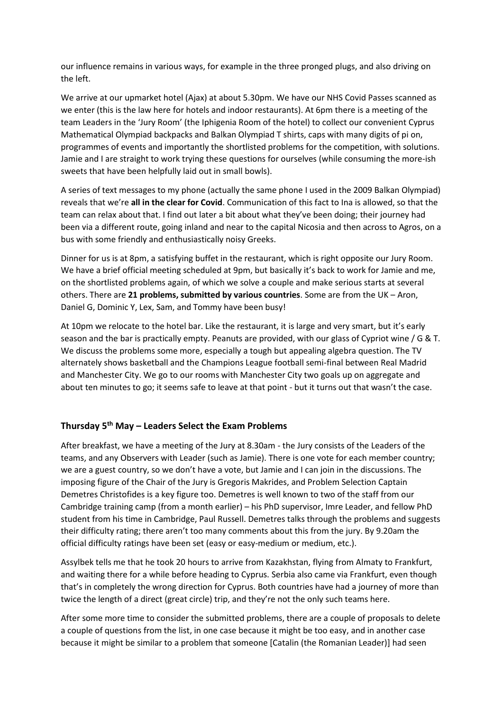our influence remains in various ways, for example in the three pronged plugs, and also driving on the left.

We arrive at our upmarket hotel (Ajax) at about 5.30pm. We have our NHS Covid Passes scanned as we enter (this is the law here for hotels and indoor restaurants). At 6pm there is a meeting of the team Leaders in the 'Jury Room' (the Iphigenia Room of the hotel) to collect our convenient Cyprus Mathematical Olympiad backpacks and Balkan Olympiad T shirts, caps with many digits of pi on, programmes of events and importantly the shortlisted problems for the competition, with solutions. Jamie and I are straight to work trying these questions for ourselves (while consuming the more-ish sweets that have been helpfully laid out in small bowls).

A series of text messages to my phone (actually the same phone I used in the 2009 Balkan Olympiad) reveals that we're **all in the clear for Covid**. Communication of this fact to Ina is allowed, so that the team can relax about that. I find out later a bit about what they've been doing; their journey had been via a different route, going inland and near to the capital Nicosia and then across to Agros, on a bus with some friendly and enthusiastically noisy Greeks.

Dinner for us is at 8pm, a satisfying buffet in the restaurant, which is right opposite our Jury Room. We have a brief official meeting scheduled at 9pm, but basically it's back to work for Jamie and me, on the shortlisted problems again, of which we solve a couple and make serious starts at several others. There are **21 problems, submitted by various countries**. Some are from the UK – Aron, Daniel G, Dominic Y, Lex, Sam, and Tommy have been busy!

At 10pm we relocate to the hotel bar. Like the restaurant, it is large and very smart, but it's early season and the bar is practically empty. Peanuts are provided, with our glass of Cypriot wine / G & T. We discuss the problems some more, especially a tough but appealing algebra question. The TV alternately shows basketball and the Champions League football semi-final between Real Madrid and Manchester City. We go to our rooms with Manchester City two goals up on aggregate and about ten minutes to go; it seems safe to leave at that point - but it turns out that wasn't the case.

# **Thursday 5th May – Leaders Select the Exam Problems**

After breakfast, we have a meeting of the Jury at 8.30am - the Jury consists of the Leaders of the teams, and any Observers with Leader (such as Jamie). There is one vote for each member country; we are a guest country, so we don't have a vote, but Jamie and I can join in the discussions. The imposing figure of the Chair of the Jury is Gregoris Makrides, and Problem Selection Captain Demetres Christofides is a key figure too. Demetres is well known to two of the staff from our Cambridge training camp (from a month earlier) – his PhD supervisor, Imre Leader, and fellow PhD student from his time in Cambridge, Paul Russell. Demetres talks through the problems and suggests their difficulty rating; there aren't too many comments about this from the jury. By 9.20am the official difficulty ratings have been set (easy or easy-medium or medium, etc.).

Assylbek tells me that he took 20 hours to arrive from Kazakhstan, flying from Almaty to Frankfurt, and waiting there for a while before heading to Cyprus. Serbia also came via Frankfurt, even though that's in completely the wrong direction for Cyprus. Both countries have had a journey of more than twice the length of a direct (great circle) trip, and they're not the only such teams here.

After some more time to consider the submitted problems, there are a couple of proposals to delete a couple of questions from the list, in one case because it might be too easy, and in another case because it might be similar to a problem that someone [Catalin (the Romanian Leader)] had seen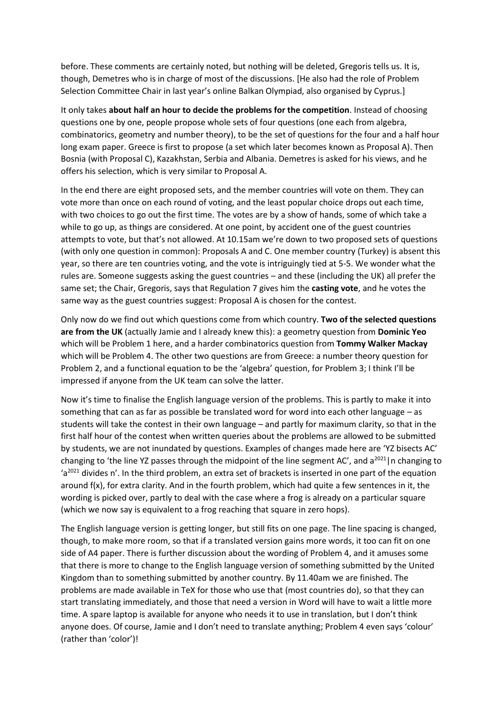before. These comments are certainly noted, but nothing will be deleted, Gregoris tells us. It is, though, Demetres who is in charge of most of the discussions. [He also had the role of Problem Selection Committee Chair in last year's online Balkan Olympiad, also organised by Cyprus.]

It only takes **about half an hour to decide the problems for the competition**. Instead of choosing questions one by one, people propose whole sets of four questions (one each from algebra, combinatorics, geometry and number theory), to be the set of questions for the four and a half hour long exam paper. Greece is first to propose (a set which later becomes known as Proposal A). Then Bosnia (with Proposal C), Kazakhstan, Serbia and Albania. Demetres is asked for his views, and he offers his selection, which is very similar to Proposal A.

In the end there are eight proposed sets, and the member countries will vote on them. They can vote more than once on each round of voting, and the least popular choice drops out each time, with two choices to go out the first time. The votes are by a show of hands, some of which take a while to go up, as things are considered. At one point, by accident one of the guest countries attempts to vote, but that's not allowed. At 10.15am we're down to two proposed sets of questions (with only one question in common): Proposals A and C. One member country (Turkey) is absent this year, so there are ten countries voting, and the vote is intriguingly tied at 5-5. We wonder what the rules are. Someone suggests asking the guest countries – and these (including the UK) all prefer the same set; the Chair, Gregoris, says that Regulation 7 gives him the **casting vote**, and he votes the same way as the guest countries suggest: Proposal A is chosen for the contest.

Only now do we find out which questions come from which country. **Two of the selected questions are from the UK** (actually Jamie and I already knew this): a geometry question from **Dominic Yeo** which will be Problem 1 here, and a harder combinatorics question from **Tommy Walker Mackay** which will be Problem 4. The other two questions are from Greece: a number theory question for Problem 2, and a functional equation to be the 'algebra' question, for Problem 3; I think I'll be impressed if anyone from the UK team can solve the latter.

Now it's time to finalise the English language version of the problems. This is partly to make it into something that can as far as possible be translated word for word into each other language – as students will take the contest in their own language – and partly for maximum clarity, so that in the first half hour of the contest when written queries about the problems are allowed to be submitted by students, we are not inundated by questions. Examples of changes made here are 'YZ bisects AC' changing to 'the line YZ passes through the midpoint of the line segment AC', and  $a^{2021}$ |n changing to 'a<sup>2021</sup> divides n'. In the third problem, an extra set of brackets is inserted in one part of the equation around f(x), for extra clarity. And in the fourth problem, which had quite a few sentences in it, the wording is picked over, partly to deal with the case where a frog is already on a particular square (which we now say is equivalent to a frog reaching that square in zero hops).

The English language version is getting longer, but still fits on one page. The line spacing is changed, though, to make more room, so that if a translated version gains more words, it too can fit on one side of A4 paper. There is further discussion about the wording of Problem 4, and it amuses some that there is more to change to the English language version of something submitted by the United Kingdom than to something submitted by another country. By 11.40am we are finished. The problems are made available in TeX for those who use that (most countries do), so that they can start translating immediately, and those that need a version in Word will have to wait a little more time. A spare laptop is available for anyone who needs it to use in translation, but I don't think anyone does. Of course, Jamie and I don't need to translate anything; Problem 4 even says 'colour' (rather than 'color')!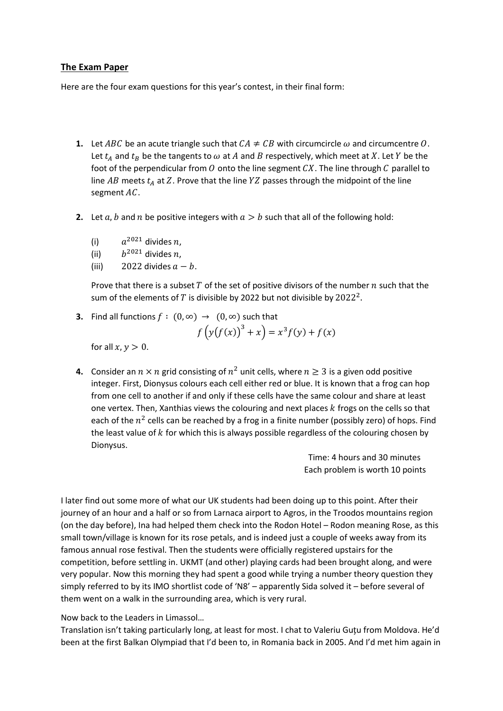# **The Exam Paper**

Here are the four exam questions for this year's contest, in their final form:

- **1.** Let ABC be an acute triangle such that  $CA \neq CB$  with circumcircle  $\omega$  and circumcentre O. Let  $t_A$  and  $t_B$  be the tangents to  $\omega$  at  $A$  and  $B$  respectively, which meet at  $X$ . Let  $Y$  be the foot of the perpendicular from  $O$  onto the line segment  $CX$ . The line through  $C$  parallel to line  $AB$  meets  $t_A$  at Z. Prove that the line  $YZ$  passes through the midpoint of the line segment  $AC$ .
- **2.** Let  $a, b$  and  $n$  be positive integers with  $a > b$  such that all of the following hold:
	- (i)  $a^{2021}$  divides n,
	- (ii)  $h^{2021}$  divides n.
	- (iii) 2022 divides  $a b$ .

Prove that there is a subset  $T$  of the set of positive divisors of the number  $n$  such that the sum of the elements of  $T$  is divisible by 2022 but not divisible by  $2022^2$ .

**3.** Find all functions  $f : (0, \infty) \rightarrow (0, \infty)$  such that

$$
f\left(y(f(x))^{3} + x\right) = x^{3} f(y) + f(x)
$$

for all  $x, y > 0$ .

**4.** Consider an  $n \times n$  grid consisting of  $n^2$  unit cells, where  $n \geq 3$  is a given odd positive integer. First, Dionysus colours each cell either red or blue. It is known that a frog can hop from one cell to another if and only if these cells have the same colour and share at least one vertex. Then, Xanthias views the colouring and next places  $k$  frogs on the cells so that each of the  $n^2$  cells can be reached by a frog in a finite number (possibly zero) of hops. Find the least value of  $k$  for which this is always possible regardless of the colouring chosen by Dionysus.

> Time: 4 hours and 30 minutes Each problem is worth 10 points

I later find out some more of what our UK students had been doing up to this point. After their journey of an hour and a half or so from Larnaca airport to Agros, in the Troodos mountains region (on the day before), Ina had helped them check into the Rodon Hotel – Rodon meaning Rose, as this small town/village is known for its rose petals, and is indeed just a couple of weeks away from its famous annual rose festival. Then the students were officially registered upstairs for the competition, before settling in. UKMT (and other) playing cards had been brought along, and were very popular. Now this morning they had spent a good while trying a number theory question they simply referred to by its IMO shortlist code of 'N8' – apparently Sida solved it – before several of them went on a walk in the surrounding area, which is very rural.

Now back to the Leaders in Limassol…

Translation isn't taking particularly long, at least for most. I chat to Valeriu Guţu from Moldova. He'd been at the first Balkan Olympiad that I'd been to, in Romania back in 2005. And I'd met him again in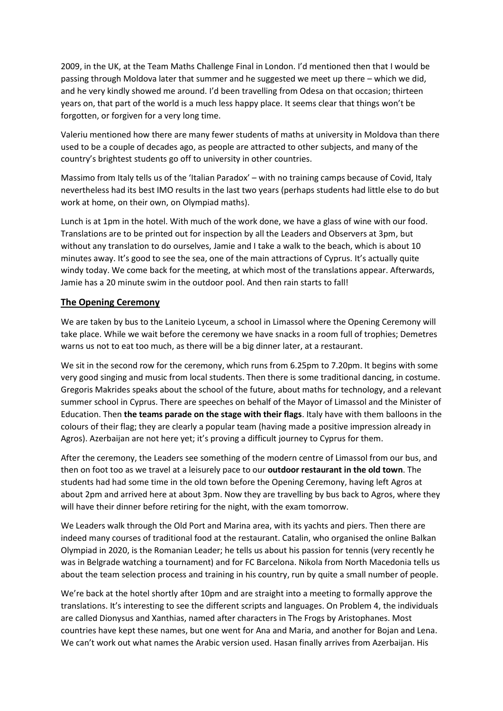2009, in the UK, at the Team Maths Challenge Final in London. I'd mentioned then that I would be passing through Moldova later that summer and he suggested we meet up there – which we did, and he very kindly showed me around. I'd been travelling from Odesa on that occasion; thirteen years on, that part of the world is a much less happy place. It seems clear that things won't be forgotten, or forgiven for a very long time.

Valeriu mentioned how there are many fewer students of maths at university in Moldova than there used to be a couple of decades ago, as people are attracted to other subjects, and many of the country's brightest students go off to university in other countries.

Massimo from Italy tells us of the 'Italian Paradox' – with no training camps because of Covid, Italy nevertheless had its best IMO results in the last two years (perhaps students had little else to do but work at home, on their own, on Olympiad maths).

Lunch is at 1pm in the hotel. With much of the work done, we have a glass of wine with our food. Translations are to be printed out for inspection by all the Leaders and Observers at 3pm, but without any translation to do ourselves, Jamie and I take a walk to the beach, which is about 10 minutes away. It's good to see the sea, one of the main attractions of Cyprus. It's actually quite windy today. We come back for the meeting, at which most of the translations appear. Afterwards, Jamie has a 20 minute swim in the outdoor pool. And then rain starts to fall!

### **The Opening Ceremony**

We are taken by bus to the Laniteio Lyceum, a school in Limassol where the Opening Ceremony will take place. While we wait before the ceremony we have snacks in a room full of trophies; Demetres warns us not to eat too much, as there will be a big dinner later, at a restaurant.

We sit in the second row for the ceremony, which runs from 6.25pm to 7.20pm. It begins with some very good singing and music from local students. Then there is some traditional dancing, in costume. Gregoris Makrides speaks about the school of the future, about maths for technology, and a relevant summer school in Cyprus. There are speeches on behalf of the Mayor of Limassol and the Minister of Education. Then **the teams parade on the stage with their flags**. Italy have with them balloons in the colours of their flag; they are clearly a popular team (having made a positive impression already in Agros). Azerbaijan are not here yet; it's proving a difficult journey to Cyprus for them.

After the ceremony, the Leaders see something of the modern centre of Limassol from our bus, and then on foot too as we travel at a leisurely pace to our **outdoor restaurant in the old town**. The students had had some time in the old town before the Opening Ceremony, having left Agros at about 2pm and arrived here at about 3pm. Now they are travelling by bus back to Agros, where they will have their dinner before retiring for the night, with the exam tomorrow.

We Leaders walk through the Old Port and Marina area, with its yachts and piers. Then there are indeed many courses of traditional food at the restaurant. Catalin, who organised the online Balkan Olympiad in 2020, is the Romanian Leader; he tells us about his passion for tennis (very recently he was in Belgrade watching a tournament) and for FC Barcelona. Nikola from North Macedonia tells us about the team selection process and training in his country, run by quite a small number of people.

We're back at the hotel shortly after 10pm and are straight into a meeting to formally approve the translations. It's interesting to see the different scripts and languages. On Problem 4, the individuals are called Dionysus and Xanthias, named after characters in The Frogs by Aristophanes. Most countries have kept these names, but one went for Ana and Maria, and another for Bojan and Lena. We can't work out what names the Arabic version used. Hasan finally arrives from Azerbaijan. His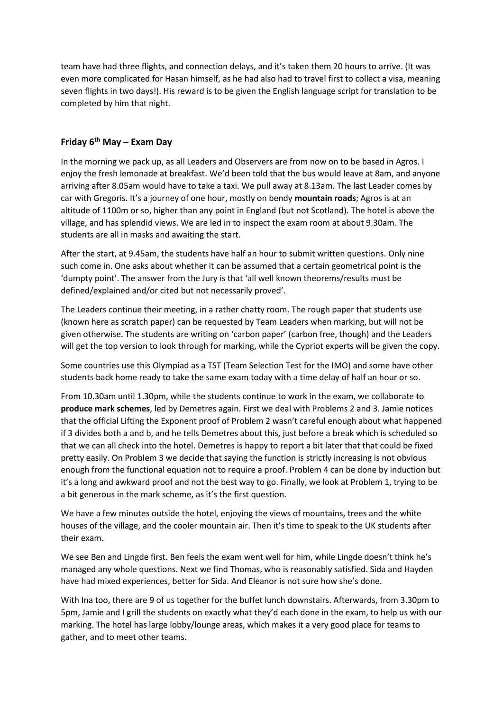team have had three flights, and connection delays, and it's taken them 20 hours to arrive. (It was even more complicated for Hasan himself, as he had also had to travel first to collect a visa, meaning seven flights in two days!). His reward is to be given the English language script for translation to be completed by him that night.

# **Friday 6th May – Exam Day**

In the morning we pack up, as all Leaders and Observers are from now on to be based in Agros. I enjoy the fresh lemonade at breakfast. We'd been told that the bus would leave at 8am, and anyone arriving after 8.05am would have to take a taxi. We pull away at 8.13am. The last Leader comes by car with Gregoris. It's a journey of one hour, mostly on bendy **mountain roads**; Agros is at an altitude of 1100m or so, higher than any point in England (but not Scotland). The hotel is above the village, and has splendid views. We are led in to inspect the exam room at about 9.30am. The students are all in masks and awaiting the start.

After the start, at 9.45am, the students have half an hour to submit written questions. Only nine such come in. One asks about whether it can be assumed that a certain geometrical point is the 'dumpty point'. The answer from the Jury is that 'all well known theorems/results must be defined/explained and/or cited but not necessarily proved'.

The Leaders continue their meeting, in a rather chatty room. The rough paper that students use (known here as scratch paper) can be requested by Team Leaders when marking, but will not be given otherwise. The students are writing on 'carbon paper' (carbon free, though) and the Leaders will get the top version to look through for marking, while the Cypriot experts will be given the copy.

Some countries use this Olympiad as a TST (Team Selection Test for the IMO) and some have other students back home ready to take the same exam today with a time delay of half an hour or so.

From 10.30am until 1.30pm, while the students continue to work in the exam, we collaborate to **produce mark schemes**, led by Demetres again. First we deal with Problems 2 and 3. Jamie notices that the official Lifting the Exponent proof of Problem 2 wasn't careful enough about what happened if 3 divides both a and b, and he tells Demetres about this, just before a break which is scheduled so that we can all check into the hotel. Demetres is happy to report a bit later that that could be fixed pretty easily. On Problem 3 we decide that saying the function is strictly increasing is not obvious enough from the functional equation not to require a proof. Problem 4 can be done by induction but it's a long and awkward proof and not the best way to go. Finally, we look at Problem 1, trying to be a bit generous in the mark scheme, as it's the first question.

We have a few minutes outside the hotel, enjoying the views of mountains, trees and the white houses of the village, and the cooler mountain air. Then it's time to speak to the UK students after their exam.

We see Ben and Lingde first. Ben feels the exam went well for him, while Lingde doesn't think he's managed any whole questions. Next we find Thomas, who is reasonably satisfied. Sida and Hayden have had mixed experiences, better for Sida. And Eleanor is not sure how she's done.

With Ina too, there are 9 of us together for the buffet lunch downstairs. Afterwards, from 3.30pm to 5pm, Jamie and I grill the students on exactly what they'd each done in the exam, to help us with our marking. The hotel has large lobby/lounge areas, which makes it a very good place for teams to gather, and to meet other teams.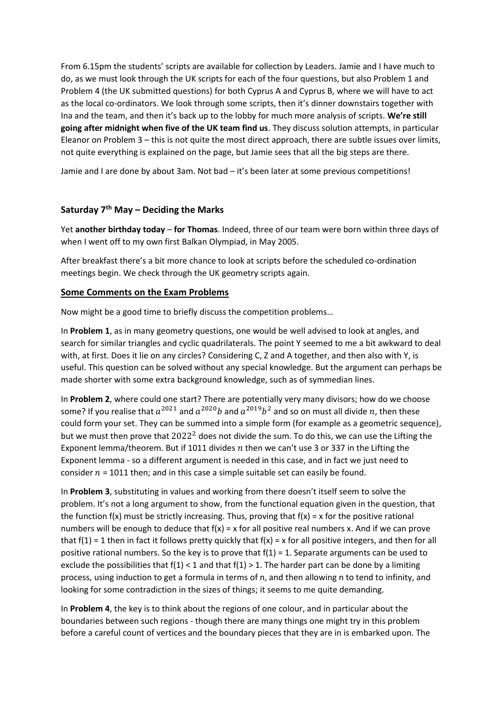From 6.15pm the students' scripts are available for collection by Leaders. Jamie and I have much to do, as we must look through the UK scripts for each of the four questions, but also Problem 1 and Problem 4 (the UK submitted questions) for both Cyprus A and Cyprus B, where we will have to act as the local co-ordinators. We look through some scripts, then it's dinner downstairs together with Ina and the team, and then it's back up to the lobby for much more analysis of scripts. **We're still going after midnight when five of the UK team find us**. They discuss solution attempts, in particular Eleanor on Problem 3 – this is not quite the most direct approach, there are subtle issues over limits, not quite everything is explained on the page, but Jamie sees that all the big steps are there.

Jamie and I are done by about 3am. Not bad – it's been later at some previous competitions!

# **Saturday 7th May – Deciding the Marks**

Yet **another birthday today** – **for Thomas**. Indeed, three of our team were born within three days of when I went off to my own first Balkan Olympiad, in May 2005.

After breakfast there's a bit more chance to look at scripts before the scheduled co-ordination meetings begin. We check through the UK geometry scripts again.

#### **Some Comments on the Exam Problems**

Now might be a good time to briefly discuss the competition problems…

In **Problem 1**, as in many geometry questions, one would be well advised to look at angles, and search for similar triangles and cyclic quadrilaterals. The point Y seemed to me a bit awkward to deal with, at first. Does it lie on any circles? Considering C, Z and A together, and then also with Y, is useful. This question can be solved without any special knowledge. But the argument can perhaps be made shorter with some extra background knowledge, such as of symmedian lines.

In **Problem 2**, where could one start? There are potentially very many divisors; how do we choose some? If you realise that  $a^{2021}$  and  $a^{2020}b$  and  $a^{2019}b^2$  and so on must all divide  $n$ , then these could form your set. They can be summed into a simple form (for example as a geometric sequence), but we must then prove that  $2022<sup>2</sup>$  does not divide the sum. To do this, we can use the Lifting the Exponent lemma/theorem. But if 1011 divides  $n$  then we can't use 3 or 337 in the Lifting the Exponent lemma - so a different argument is needed in this case, and in fact we just need to consider  $n = 1011$  then; and in this case a simple suitable set can easily be found.

In **Problem 3**, substituting in values and working from there doesn't itself seem to solve the problem. It's not a long argument to show, from the functional equation given in the question, that the function  $f(x)$  must be strictly increasing. Thus, proving that  $f(x) = x$  for the positive rational numbers will be enough to deduce that  $f(x) = x$  for all positive real numbers x. And if we can prove that  $f(1) = 1$  then in fact it follows pretty quickly that  $f(x) = x$  for all positive integers, and then for all positive rational numbers. So the key is to prove that  $f(1) = 1$ . Separate arguments can be used to exclude the possibilities that  $f(1) < 1$  and that  $f(1) > 1$ . The harder part can be done by a limiting process, using induction to get a formula in terms of n, and then allowing n to tend to infinity, and looking for some contradiction in the sizes of things; it seems to me quite demanding.

In **Problem 4**, the key is to think about the regions of one colour, and in particular about the boundaries between such regions - though there are many things one might try in this problem before a careful count of vertices and the boundary pieces that they are in is embarked upon. The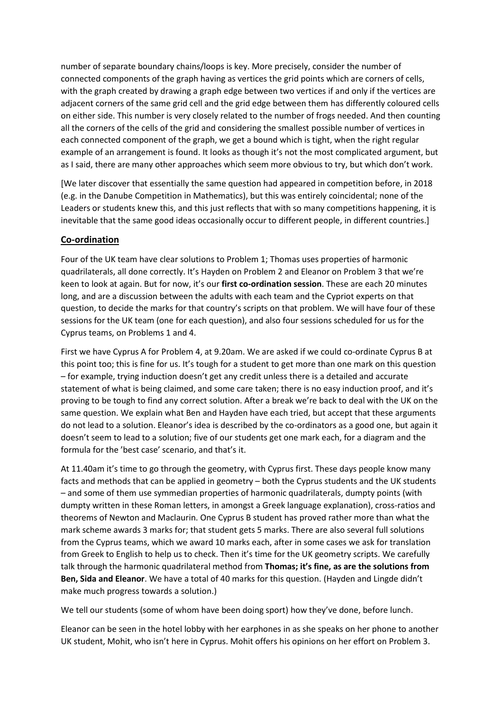number of separate boundary chains/loops is key. More precisely, consider the number of connected components of the graph having as vertices the grid points which are corners of cells, with the graph created by drawing a graph edge between two vertices if and only if the vertices are adjacent corners of the same grid cell and the grid edge between them has differently coloured cells on either side. This number is very closely related to the number of frogs needed. And then counting all the corners of the cells of the grid and considering the smallest possible number of vertices in each connected component of the graph, we get a bound which is tight, when the right regular example of an arrangement is found. It looks as though it's not the most complicated argument, but as I said, there are many other approaches which seem more obvious to try, but which don't work.

[We later discover that essentially the same question had appeared in competition before, in 2018 (e.g. in the Danube Competition in Mathematics), but this was entirely coincidental; none of the Leaders or students knew this, and this just reflects that with so many competitions happening, it is inevitable that the same good ideas occasionally occur to different people, in different countries.]

# **Co-ordination**

Four of the UK team have clear solutions to Problem 1; Thomas uses properties of harmonic quadrilaterals, all done correctly. It's Hayden on Problem 2 and Eleanor on Problem 3 that we're keen to look at again. But for now, it's our **first co-ordination session**. These are each 20 minutes long, and are a discussion between the adults with each team and the Cypriot experts on that question, to decide the marks for that country's scripts on that problem. We will have four of these sessions for the UK team (one for each question), and also four sessions scheduled for us for the Cyprus teams, on Problems 1 and 4.

First we have Cyprus A for Problem 4, at 9.20am. We are asked if we could co-ordinate Cyprus B at this point too; this is fine for us. It's tough for a student to get more than one mark on this question – for example, trying induction doesn't get any credit unless there is a detailed and accurate statement of what is being claimed, and some care taken; there is no easy induction proof, and it's proving to be tough to find any correct solution. After a break we're back to deal with the UK on the same question. We explain what Ben and Hayden have each tried, but accept that these arguments do not lead to a solution. Eleanor's idea is described by the co-ordinators as a good one, but again it doesn't seem to lead to a solution; five of our students get one mark each, for a diagram and the formula for the 'best case' scenario, and that's it.

At 11.40am it's time to go through the geometry, with Cyprus first. These days people know many facts and methods that can be applied in geometry – both the Cyprus students and the UK students – and some of them use symmedian properties of harmonic quadrilaterals, dumpty points (with dumpty written in these Roman letters, in amongst a Greek language explanation), cross-ratios and theorems of Newton and Maclaurin. One Cyprus B student has proved rather more than what the mark scheme awards 3 marks for; that student gets 5 marks. There are also several full solutions from the Cyprus teams, which we award 10 marks each, after in some cases we ask for translation from Greek to English to help us to check. Then it's time for the UK geometry scripts. We carefully talk through the harmonic quadrilateral method from **Thomas; it's fine, as are the solutions from Ben, Sida and Eleanor**. We have a total of 40 marks for this question. (Hayden and Lingde didn't make much progress towards a solution.)

We tell our students (some of whom have been doing sport) how they've done, before lunch.

Eleanor can be seen in the hotel lobby with her earphones in as she speaks on her phone to another UK student, Mohit, who isn't here in Cyprus. Mohit offers his opinions on her effort on Problem 3.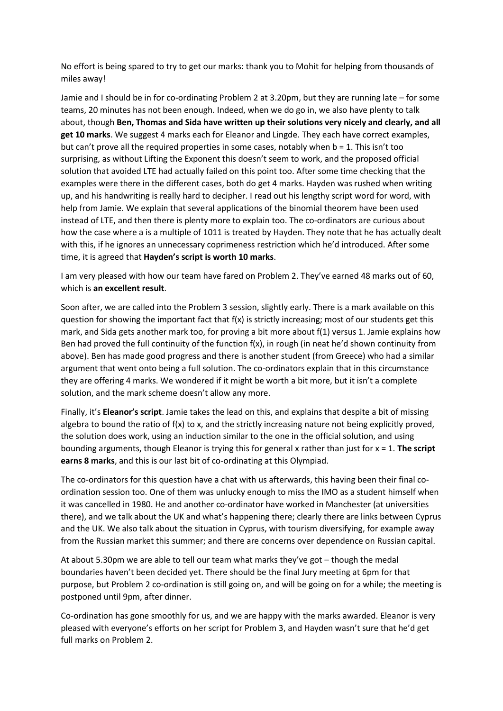No effort is being spared to try to get our marks: thank you to Mohit for helping from thousands of miles away!

Jamie and I should be in for co-ordinating Problem 2 at 3.20pm, but they are running late – for some teams, 20 minutes has not been enough. Indeed, when we do go in, we also have plenty to talk about, though **Ben, Thomas and Sida have written up their solutions very nicely and clearly, and all get 10 marks**. We suggest 4 marks each for Eleanor and Lingde. They each have correct examples, but can't prove all the required properties in some cases, notably when  $b = 1$ . This isn't too surprising, as without Lifting the Exponent this doesn't seem to work, and the proposed official solution that avoided LTE had actually failed on this point too. After some time checking that the examples were there in the different cases, both do get 4 marks. Hayden was rushed when writing up, and his handwriting is really hard to decipher. I read out his lengthy script word for word, with help from Jamie. We explain that several applications of the binomial theorem have been used instead of LTE, and then there is plenty more to explain too. The co-ordinators are curious about how the case where a is a multiple of 1011 is treated by Hayden. They note that he has actually dealt with this, if he ignores an unnecessary coprimeness restriction which he'd introduced. After some time, it is agreed that **Hayden's script is worth 10 marks**.

I am very pleased with how our team have fared on Problem 2. They've earned 48 marks out of 60, which is **an excellent result**.

Soon after, we are called into the Problem 3 session, slightly early. There is a mark available on this question for showing the important fact that f(x) is strictly increasing; most of our students get this mark, and Sida gets another mark too, for proving a bit more about f(1) versus 1. Jamie explains how Ben had proved the full continuity of the function f(x), in rough (in neat he'd shown continuity from above). Ben has made good progress and there is another student (from Greece) who had a similar argument that went onto being a full solution. The co-ordinators explain that in this circumstance they are offering 4 marks. We wondered if it might be worth a bit more, but it isn't a complete solution, and the mark scheme doesn't allow any more.

Finally, it's **Eleanor's script**. Jamie takes the lead on this, and explains that despite a bit of missing algebra to bound the ratio of  $f(x)$  to x, and the strictly increasing nature not being explicitly proved, the solution does work, using an induction similar to the one in the official solution, and using bounding arguments, though Eleanor is trying this for general x rather than just for x = 1. **The script earns 8 marks**, and this is our last bit of co-ordinating at this Olympiad.

The co-ordinators for this question have a chat with us afterwards, this having been their final coordination session too. One of them was unlucky enough to miss the IMO as a student himself when it was cancelled in 1980. He and another co-ordinator have worked in Manchester (at universities there), and we talk about the UK and what's happening there; clearly there are links between Cyprus and the UK. We also talk about the situation in Cyprus, with tourism diversifying, for example away from the Russian market this summer; and there are concerns over dependence on Russian capital.

At about 5.30pm we are able to tell our team what marks they've got – though the medal boundaries haven't been decided yet. There should be the final Jury meeting at 6pm for that purpose, but Problem 2 co-ordination is still going on, and will be going on for a while; the meeting is postponed until 9pm, after dinner.

Co-ordination has gone smoothly for us, and we are happy with the marks awarded. Eleanor is very pleased with everyone's efforts on her script for Problem 3, and Hayden wasn't sure that he'd get full marks on Problem 2.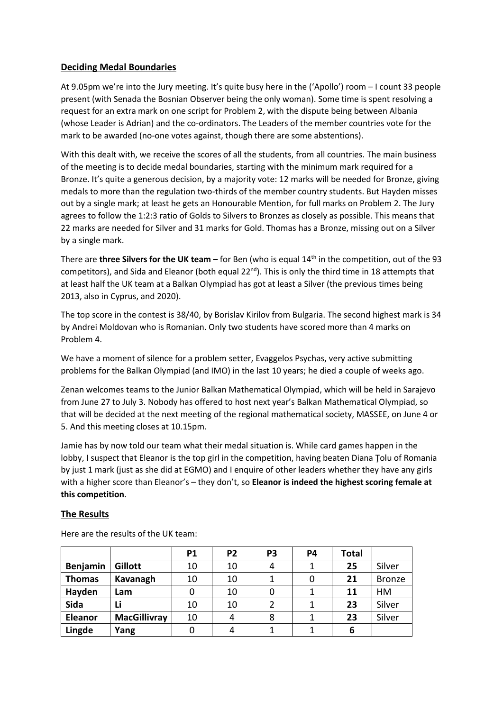# **Deciding Medal Boundaries**

At 9.05pm we're into the Jury meeting. It's quite busy here in the ('Apollo') room – I count 33 people present (with Senada the Bosnian Observer being the only woman). Some time is spent resolving a request for an extra mark on one script for Problem 2, with the dispute being between Albania (whose Leader is Adrian) and the co-ordinators. The Leaders of the member countries vote for the mark to be awarded (no-one votes against, though there are some abstentions).

With this dealt with, we receive the scores of all the students, from all countries. The main business of the meeting is to decide medal boundaries, starting with the minimum mark required for a Bronze. It's quite a generous decision, by a majority vote: 12 marks will be needed for Bronze, giving medals to more than the regulation two-thirds of the member country students. But Hayden misses out by a single mark; at least he gets an Honourable Mention, for full marks on Problem 2. The Jury agrees to follow the 1:2:3 ratio of Golds to Silvers to Bronzes as closely as possible. This means that 22 marks are needed for Silver and 31 marks for Gold. Thomas has a Bronze, missing out on a Silver by a single mark.

There are **three Silvers for the UK team** – for Ben (who is equal 14th in the competition, out of the 93 competitors), and Sida and Eleanor (both equal 22<sup>nd</sup>). This is only the third time in 18 attempts that at least half the UK team at a Balkan Olympiad has got at least a Silver (the previous times being 2013, also in Cyprus, and 2020).

The top score in the contest is 38/40, by Borislav Kirilov from Bulgaria. The second highest mark is 34 by Andrei Moldovan who is Romanian. Only two students have scored more than 4 marks on Problem 4.

We have a moment of silence for a problem setter, Evaggelos Psychas, very active submitting problems for the Balkan Olympiad (and IMO) in the last 10 years; he died a couple of weeks ago.

Zenan welcomes teams to the Junior Balkan Mathematical Olympiad, which will be held in Sarajevo from June 27 to July 3. Nobody has offered to host next year's Balkan Mathematical Olympiad, so that will be decided at the next meeting of the regional mathematical society, MASSEE, on June 4 or 5. And this meeting closes at 10.15pm.

Jamie has by now told our team what their medal situation is. While card games happen in the lobby, I suspect that Eleanor is the top girl in the competition, having beaten Diana Ţolu of Romania by just 1 mark (just as she did at EGMO) and I enquire of other leaders whether they have any girls with a higher score than Eleanor's – they don't, so **Eleanor is indeed the highest scoring female at this competition**.

# **The Results**

|                 |                     | <b>P1</b> | P <sub>2</sub> | P <sub>3</sub> | P4 | <b>Total</b> |               |
|-----------------|---------------------|-----------|----------------|----------------|----|--------------|---------------|
| <b>Benjamin</b> | Gillott             | 10        | 10             | 4              |    | 25           | Silver        |
| <b>Thomas</b>   | Kavanagh            | 10        | 10             |                |    | 21           | <b>Bronze</b> |
| Hayden          | Lam                 | 0         | 10             |                |    | 11           | HM            |
| Sida            | Li                  | 10        | 10             | $\mathfrak z$  |    | 23           | Silver        |
| Eleanor         | <b>MacGillivray</b> | 10        | 4              | 8              |    | 23           | Silver        |
| Lingde          | Yang                | 0         | 4              |                |    | 6            |               |

Here are the results of the UK team: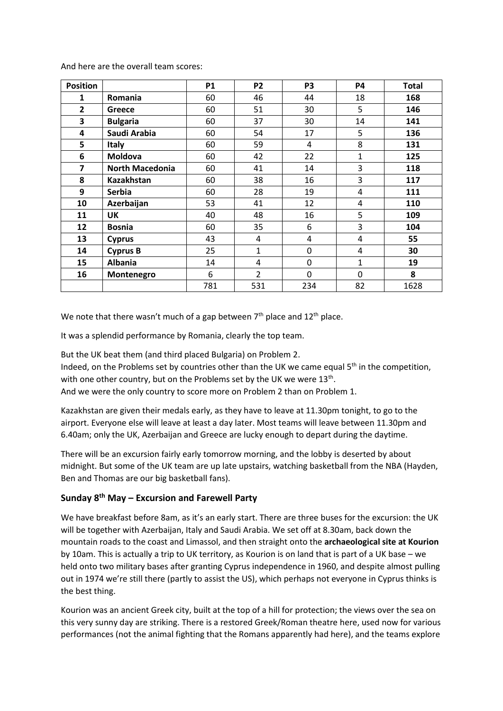| <b>Position</b> |                        | <b>P1</b> | P <sub>2</sub> | P <sub>3</sub> | P4           | <b>Total</b> |
|-----------------|------------------------|-----------|----------------|----------------|--------------|--------------|
| 1               | Romania                | 60        | 46             | 44             | 18           | 168          |
| $\overline{2}$  | Greece                 | 60        | 51             | 30             | 5            | 146          |
| 3               | <b>Bulgaria</b>        | 60        | 37             | 30             | 14           | 141          |
| 4               | Saudi Arabia           | 60        | 54             | 17             | 5            | 136          |
| 5               | <b>Italy</b>           | 60        | 59             | 4              | 8            | 131          |
| 6               | Moldova                | 60        | 42             | 22             | $\mathbf{1}$ | 125          |
| 7               | <b>North Macedonia</b> | 60        | 41             | 14             | 3            | 118          |
| 8               | <b>Kazakhstan</b>      | 60        | 38             | 16             | 3            | 117          |
| 9               | <b>Serbia</b>          | 60        | 28             | 19             | 4            | 111          |
| 10              | Azerbaijan             | 53        | 41             | 12             | 4            | 110          |
| 11              | <b>UK</b>              | 40        | 48             | 16             | 5            | 109          |
| 12              | <b>Bosnia</b>          | 60        | 35             | 6              | 3            | 104          |
| 13              | <b>Cyprus</b>          | 43        | 4              | 4              | 4            | 55           |
| 14              | <b>Cyprus B</b>        | 25        | $\mathbf{1}$   | 0              | 4            | 30           |
| 15              | <b>Albania</b>         | 14        | 4              | 0              | $\mathbf{1}$ | 19           |
| 16              | Montenegro             | 6         | $\overline{2}$ | $\mathbf 0$    | 0            | 8            |
|                 |                        | 781       | 531            | 234            | 82           | 1628         |

And here are the overall team scores:

We note that there wasn't much of a gap between  $7<sup>th</sup>$  place and  $12<sup>th</sup>$  place.

It was a splendid performance by Romania, clearly the top team.

But the UK beat them (and third placed Bulgaria) on Problem 2. Indeed, on the Problems set by countries other than the UK we came equal  $5<sup>th</sup>$  in the competition, with one other country, but on the Problems set by the UK we were  $13<sup>th</sup>$ . And we were the only country to score more on Problem 2 than on Problem 1.

Kazakhstan are given their medals early, as they have to leave at 11.30pm tonight, to go to the airport. Everyone else will leave at least a day later. Most teams will leave between 11.30pm and 6.40am; only the UK, Azerbaijan and Greece are lucky enough to depart during the daytime.

There will be an excursion fairly early tomorrow morning, and the lobby is deserted by about midnight. But some of the UK team are up late upstairs, watching basketball from the NBA (Hayden, Ben and Thomas are our big basketball fans).

# **Sunday 8th May – Excursion and Farewell Party**

We have breakfast before 8am, as it's an early start. There are three buses for the excursion: the UK will be together with Azerbaijan, Italy and Saudi Arabia. We set off at 8.30am, back down the mountain roads to the coast and Limassol, and then straight onto the **archaeological site at Kourion** by 10am. This is actually a trip to UK territory, as Kourion is on land that is part of a UK base – we held onto two military bases after granting Cyprus independence in 1960, and despite almost pulling out in 1974 we're still there (partly to assist the US), which perhaps not everyone in Cyprus thinks is the best thing.

Kourion was an ancient Greek city, built at the top of a hill for protection; the views over the sea on this very sunny day are striking. There is a restored Greek/Roman theatre here, used now for various performances (not the animal fighting that the Romans apparently had here), and the teams explore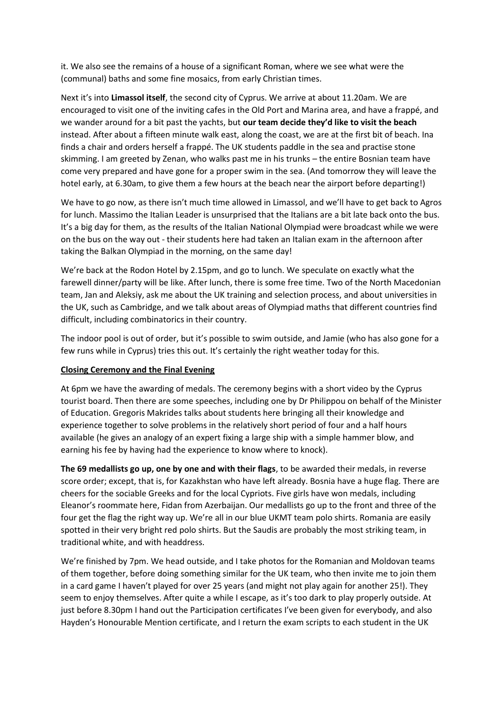it. We also see the remains of a house of a significant Roman, where we see what were the (communal) baths and some fine mosaics, from early Christian times.

Next it's into **Limassol itself**, the second city of Cyprus. We arrive at about 11.20am. We are encouraged to visit one of the inviting cafes in the Old Port and Marina area, and have a frappé, and we wander around for a bit past the yachts, but **our team decide they'd like to visit the beach**  instead. After about a fifteen minute walk east, along the coast, we are at the first bit of beach. Ina finds a chair and orders herself a frappé. The UK students paddle in the sea and practise stone skimming. I am greeted by Zenan, who walks past me in his trunks – the entire Bosnian team have come very prepared and have gone for a proper swim in the sea. (And tomorrow they will leave the hotel early, at 6.30am, to give them a few hours at the beach near the airport before departing!)

We have to go now, as there isn't much time allowed in Limassol, and we'll have to get back to Agros for lunch. Massimo the Italian Leader is unsurprised that the Italians are a bit late back onto the bus. It's a big day for them, as the results of the Italian National Olympiad were broadcast while we were on the bus on the way out - their students here had taken an Italian exam in the afternoon after taking the Balkan Olympiad in the morning, on the same day!

We're back at the Rodon Hotel by 2.15pm, and go to lunch. We speculate on exactly what the farewell dinner/party will be like. After lunch, there is some free time. Two of the North Macedonian team, Jan and Aleksiy, ask me about the UK training and selection process, and about universities in the UK, such as Cambridge, and we talk about areas of Olympiad maths that different countries find difficult, including combinatorics in their country.

The indoor pool is out of order, but it's possible to swim outside, and Jamie (who has also gone for a few runs while in Cyprus) tries this out. It's certainly the right weather today for this.

#### **Closing Ceremony and the Final Evening**

At 6pm we have the awarding of medals. The ceremony begins with a short video by the Cyprus tourist board. Then there are some speeches, including one by Dr Philippou on behalf of the Minister of Education. Gregoris Makrides talks about students here bringing all their knowledge and experience together to solve problems in the relatively short period of four and a half hours available (he gives an analogy of an expert fixing a large ship with a simple hammer blow, and earning his fee by having had the experience to know where to knock).

**The 69 medallists go up, one by one and with their flags**, to be awarded their medals, in reverse score order; except, that is, for Kazakhstan who have left already. Bosnia have a huge flag. There are cheers for the sociable Greeks and for the local Cypriots. Five girls have won medals, including Eleanor's roommate here, Fidan from Azerbaijan. Our medallists go up to the front and three of the four get the flag the right way up. We're all in our blue UKMT team polo shirts. Romania are easily spotted in their very bright red polo shirts. But the Saudis are probably the most striking team, in traditional white, and with headdress.

We're finished by 7pm. We head outside, and I take photos for the Romanian and Moldovan teams of them together, before doing something similar for the UK team, who then invite me to join them in a card game I haven't played for over 25 years (and might not play again for another 25!). They seem to enjoy themselves. After quite a while I escape, as it's too dark to play properly outside. At just before 8.30pm I hand out the Participation certificates I've been given for everybody, and also Hayden's Honourable Mention certificate, and I return the exam scripts to each student in the UK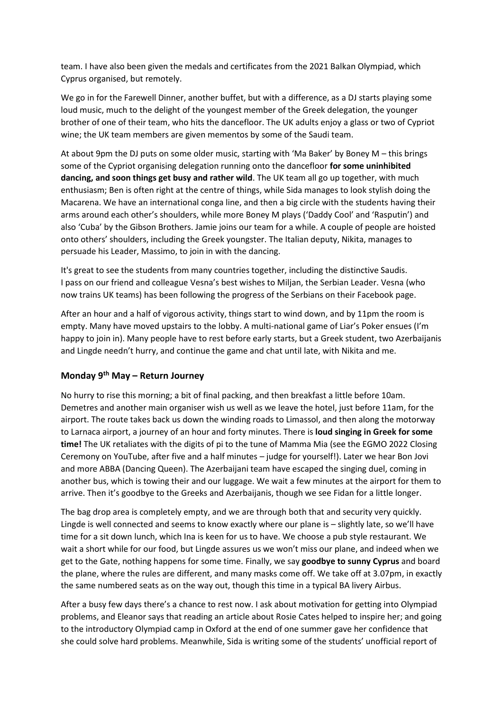team. I have also been given the medals and certificates from the 2021 Balkan Olympiad, which Cyprus organised, but remotely.

We go in for the Farewell Dinner, another buffet, but with a difference, as a DJ starts playing some loud music, much to the delight of the youngest member of the Greek delegation, the younger brother of one of their team, who hits the dancefloor. The UK adults enjoy a glass or two of Cypriot wine; the UK team members are given mementos by some of the Saudi team.

At about 9pm the DJ puts on some older music, starting with 'Ma Baker' by Boney M – this brings some of the Cypriot organising delegation running onto the dancefloor **for some uninhibited dancing, and soon things get busy and rather wild**. The UK team all go up together, with much enthusiasm; Ben is often right at the centre of things, while Sida manages to look stylish doing the Macarena. We have an international conga line, and then a big circle with the students having their arms around each other's shoulders, while more Boney M plays ('Daddy Cool' and 'Rasputin') and also 'Cuba' by the Gibson Brothers. Jamie joins our team for a while. A couple of people are hoisted onto others' shoulders, including the Greek youngster. The Italian deputy, Nikita, manages to persuade his Leader, Massimo, to join in with the dancing.

It's great to see the students from many countries together, including the distinctive Saudis. I pass on our friend and colleague Vesna's best wishes to Miljan, the Serbian Leader. Vesna (who now trains UK teams) has been following the progress of the Serbians on their Facebook page.

After an hour and a half of vigorous activity, things start to wind down, and by 11pm the room is empty. Many have moved upstairs to the lobby. A multi-national game of Liar's Poker ensues (I'm happy to join in). Many people have to rest before early starts, but a Greek student, two Azerbaijanis and Lingde needn't hurry, and continue the game and chat until late, with Nikita and me.

# **Monday 9th May – Return Journey**

No hurry to rise this morning; a bit of final packing, and then breakfast a little before 10am. Demetres and another main organiser wish us well as we leave the hotel, just before 11am, for the airport. The route takes back us down the winding roads to Limassol, and then along the motorway to Larnaca airport, a journey of an hour and forty minutes. There is **loud singing in Greek for some time!** The UK retaliates with the digits of pi to the tune of Mamma Mia (see the EGMO 2022 Closing Ceremony on YouTube, after five and a half minutes – judge for yourself!). Later we hear Bon Jovi and more ABBA (Dancing Queen). The Azerbaijani team have escaped the singing duel, coming in another bus, which is towing their and our luggage. We wait a few minutes at the airport for them to arrive. Then it's goodbye to the Greeks and Azerbaijanis, though we see Fidan for a little longer.

The bag drop area is completely empty, and we are through both that and security very quickly. Lingde is well connected and seems to know exactly where our plane is – slightly late, so we'll have time for a sit down lunch, which Ina is keen for us to have. We choose a pub style restaurant. We wait a short while for our food, but Lingde assures us we won't miss our plane, and indeed when we get to the Gate, nothing happens for some time. Finally, we say **goodbye to sunny Cyprus** and board the plane, where the rules are different, and many masks come off. We take off at 3.07pm, in exactly the same numbered seats as on the way out, though this time in a typical BA livery Airbus.

After a busy few days there's a chance to rest now. I ask about motivation for getting into Olympiad problems, and Eleanor says that reading an article about Rosie Cates helped to inspire her; and going to the introductory Olympiad camp in Oxford at the end of one summer gave her confidence that she could solve hard problems. Meanwhile, Sida is writing some of the students' unofficial report of